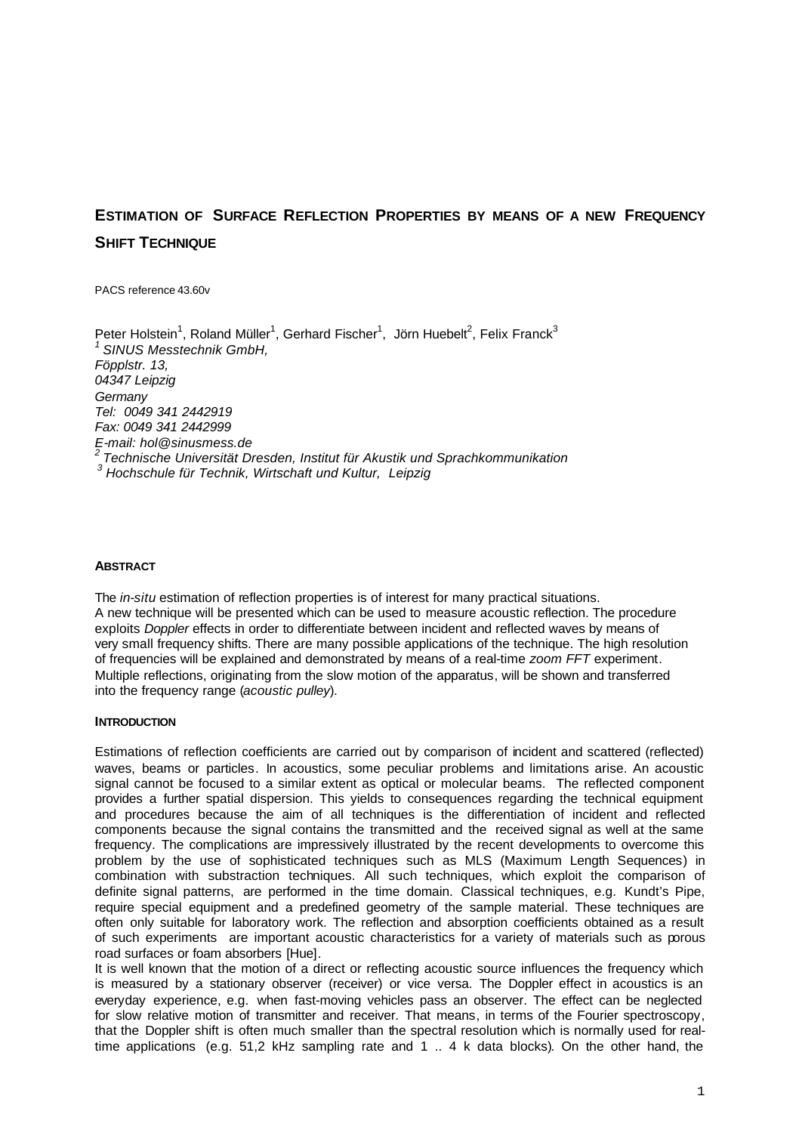# **ESTIMATION OF SURFACE REFLECTION PROPERTIES BY MEANS OF A NEW FREQUENCY SHIFT TECHNIQUE**

PACS reference 43.60v

Peter Holstein<sup>1</sup>, Roland Müller<sup>1</sup>, Gerhard Fischer<sup>1</sup>, Jörn Huebelt<sup>2</sup>, Felix Franck<sup>3</sup> *<sup>1</sup>SINUS Messtechnik GmbH, Föpplstr. 13, 04347 Leipzig Germany Tel: 0049 341 2442919 Fax: 0049 341 2442999 E-mail: hol@sinusmess.de <sup>2</sup>Technische Universität Dresden, Institut für Akustik und Sprachkommunikation <sup>3</sup>Hochschule für Technik, Wirtschaft und Kultur, Leipzig*

## **ABSTRACT**

The *in-situ* estimation of reflection properties is of interest for many practical situations. A new technique will be presented which can be used to measure acoustic reflection. The procedure exploits *Doppler* effects in order to differentiate between incident and reflected waves by means of very small frequency shifts. There are many possible applications of the technique. The high resolution of frequencies will be explained and demonstrated by means of a real-time *zoom FFT* experiment. Multiple reflections, originating from the slow motion of the apparatus, will be shown and transferred into the frequency range (*acoustic pulley*).

#### **INTRODUCTION**

Estimations of reflection coefficients are carried out by comparison of incident and scattered (reflected) waves, beams or particles. In acoustics, some peculiar problems and limitations arise. An acoustic signal cannot be focused to a similar extent as optical or molecular beams. The reflected component provides a further spatial dispersion. This yields to consequences regarding the technical equipment and procedures because the aim of all techniques is the differentiation of incident and reflected components because the signal contains the transmitted and the received signal as well at the same frequency. The complications are impressively illustrated by the recent developments to overcome this problem by the use of sophisticated techniques such as MLS (Maximum Length Sequences) in combination with substraction techniques. All such techniques, which exploit the comparison of definite signal patterns, are performed in the time domain. Classical techniques, e.g. Kundt's Pipe, require special equipment and a predefined geometry of the sample material. These techniques are often only suitable for laboratory work. The reflection and absorption coefficients obtained as a result of such experiments are important acoustic characteristics for a variety of materials such as porous road surfaces or foam absorbers [Hue].

It is well known that the motion of a direct or reflecting acoustic source influences the frequency which is measured by a stationary observer (receiver) or vice versa. The Doppler effect in acoustics is an everyday experience, e.g. when fast-moving vehicles pass an observer. The effect can be neglected for slow relative motion of transmitter and receiver. That means, in terms of the Fourier spectroscopy, that the Doppler shift is often much smaller than the spectral resolution which is normally used for realtime applications (e.g. 51,2 kHz sampling rate and 1 .. 4 k data blocks). On the other hand, the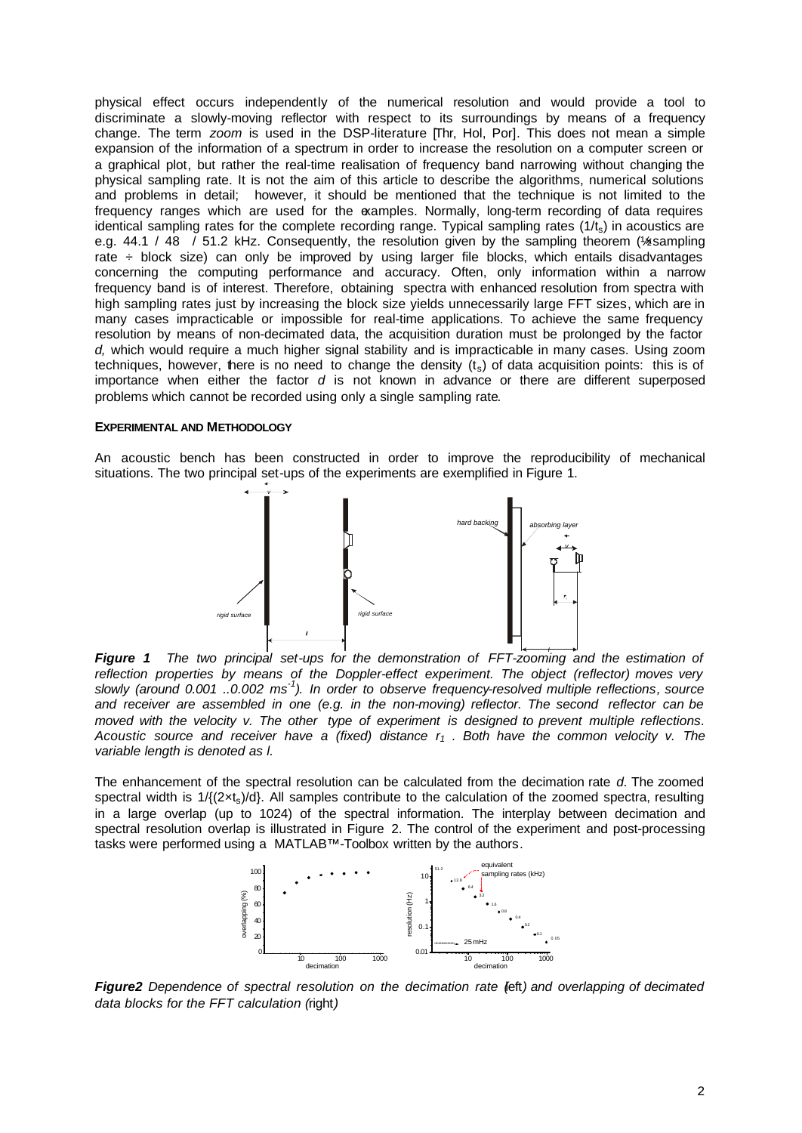physical effect occurs independently of the numerical resolution and would provide a tool to discriminate a slowly-moving reflector with respect to its surroundings by means of a frequency change. The term *zoom* is used in the DSP-literature [Thr, Hol, Por]. This does not mean a simple expansion of the information of a spectrum in order to increase the resolution on a computer screen or a graphical plot, but rather the real-time realisation of frequency band narrowing without changing the physical sampling rate. It is not the aim of this article to describe the algorithms, numerical solutions and problems in detail; however, it should be mentioned that the technique is not limited to the frequency ranges which are used for the examples. Normally, long-term recording of data requires identical sampling rates for the complete recording range. Typical sampling rates  $(1/t<sub>s</sub>)$  in acoustics are e.g. 44.1 / 48 / 51.2 kHz. Consequently, the resolution given by the sampling theorem (%xxampling rate ÷ block size) can only be improved by using larger file blocks, which entails disadvantages concerning the computing performance and accuracy. Often, only information within a narrow frequency band is of interest. Therefore, obtaining spectra with enhanced resolution from spectra with high sampling rates just by increasing the block size yields unnecessarily large FFT sizes, which are in many cases impracticable or impossible for real-time applications. To achieve the same frequency resolution by means of non-decimated data, the acquisition duration must be prolonged by the factor *d,* which would require a much higher signal stability and is impracticable in many cases. Using zoom techniques, however, there is no need to change the density  $(t<sub>s</sub>)$  of data acquisition points: this is of importance when either the factor *d* is not known in advance or there are different superposed problems which cannot be recorded using only a single sampling rate.

### **EXPERIMENTAL AND METHODOLOGY**

An acoustic bench has been constructed in order to improve the reproducibility of mechanical situations. The two principal set-ups of the experiments are exemplified in Figure 1.



 *l Figure 1 The two principal set-ups for the demonstration of FFT-zooming and the estimation of reflection properties by means of the Doppler-effect experiment. The object (reflector) moves very slowly (around 0.001 ..0.002 ms-1 ). In order to observe frequency-resolved multiple reflections, source and receiver are assembled in one (e.g. in the non-moving) reflector. The second reflector can be moved with the velocity v. The other type of experiment is designed to prevent multiple reflections. Acoustic source and receiver have a (fixed) distance r1 . Both have the common velocity v. The variable length is denoted as l.*

The enhancement of the spectral resolution can be calculated from the decimation rate *d*. The zoomed spectral width is  $1/((2 \times t_s)/d)$ . All samples contribute to the calculation of the zoomed spectra, resulting in a large overlap (up to 1024) of the spectral information. The interplay between decimation and spectral resolution overlap is illustrated in Figure 2. The control of the experiment and post-processing tasks were performed using a MATLAB™-Toolbox written by the authors.



*Figure2* Dependence of spectral resolution on the decimation rate (eft) and overlapping of decimated *data blocks for the FFT calculation (*right*)*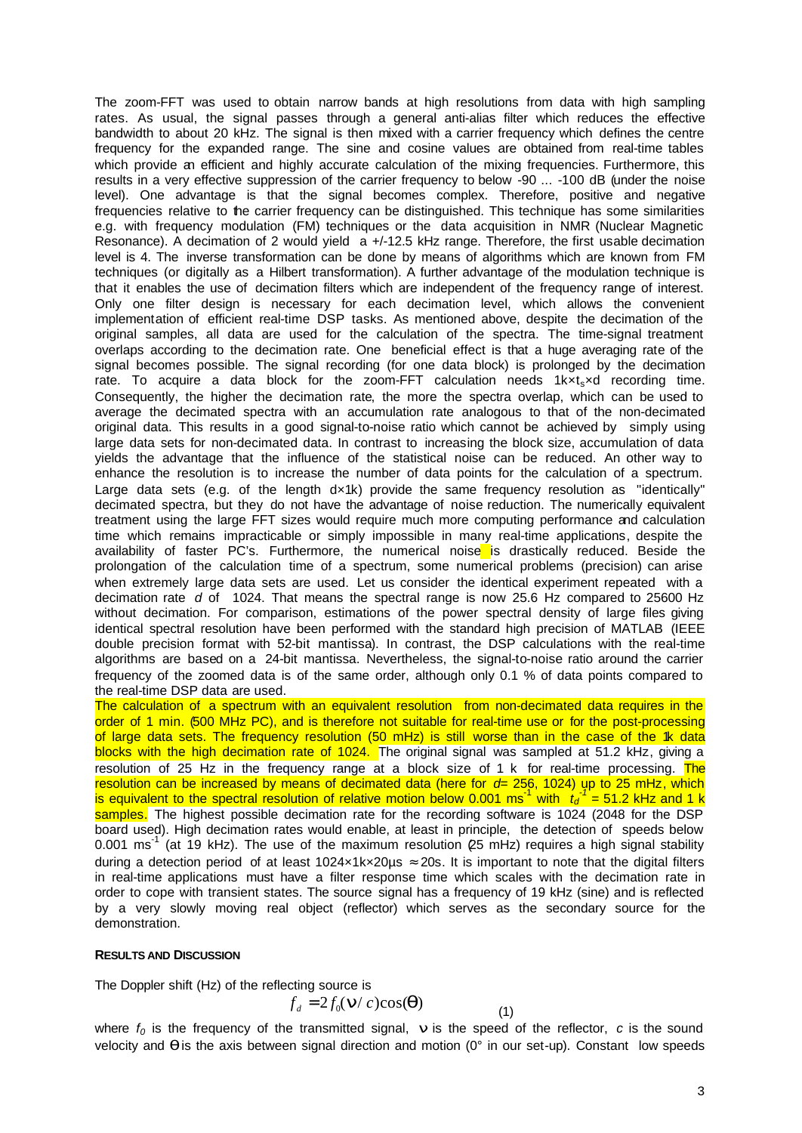The zoom-FFT was used to obtain narrow bands at high resolutions from data with high sampling rates. As usual, the signal passes through a general anti-alias filter which reduces the effective bandwidth to about 20 kHz. The signal is then mixed with a carrier frequency which defines the centre frequency for the expanded range. The sine and cosine values are obtained from real-time tables which provide an efficient and highly accurate calculation of the mixing frequencies. Furthermore, this results in a very effective suppression of the carrier frequency to below -90 ... -100 dB (under the noise level). One advantage is that the signal becomes complex. Therefore, positive and negative frequencies relative to the carrier frequency can be distinguished. This technique has some similarities e.g. with frequency modulation (FM) techniques or the data acquisition in NMR (Nuclear Magnetic Resonance). A decimation of 2 would yield a +/-12.5 kHz range. Therefore, the first usable decimation level is 4. The inverse transformation can be done by means of algorithms which are known from FM techniques (or digitally as a Hilbert transformation). A further advantage of the modulation technique is that it enables the use of decimation filters which are independent of the frequency range of interest. Only one filter design is necessary for each decimation level, which allows the convenient implementation of efficient real-time DSP tasks. As mentioned above, despite the decimation of the original samples, all data are used for the calculation of the spectra. The time-signal treatment overlaps according to the decimation rate. One beneficial effect is that a huge averaging rate of the signal becomes possible. The signal recording (for one data block) is prolonged by the decimation rate. To acquire a data block for the zoom-FFT calculation needs 1kxt-xd recording time. Consequently, the higher the decimation rate, the more the spectra overlap, which can be used to average the decimated spectra with an accumulation rate analogous to that of the non-decimated original data. This results in a good signal-to-noise ratio which cannot be achieved by simply using large data sets for non-decimated data. In contrast to increasing the block size, accumulation of data yields the advantage that the influence of the statistical noise can be reduced. An other way to enhance the resolution is to increase the number of data points for the calculation of a spectrum. Large data sets (e.g. of the length dx1k) provide the same frequency resolution as "identically" decimated spectra, but they do not have the advantage of noise reduction. The numerically equivalent treatment using the large FFT sizes would require much more computing performance and calculation time which remains impracticable or simply impossible in many real-time applications, despite the availability of faster PC's. Furthermore, the numerical noise is drastically reduced. Beside the prolongation of the calculation time of a spectrum, some numerical problems (precision) can arise when extremely large data sets are used. Let us consider the identical experiment repeated with a decimation rate *d* of 1024. That means the spectral range is now 25.6 Hz compared to 25600 Hz without decimation. For comparison, estimations of the power spectral density of large files giving identical spectral resolution have been performed with the standard high precision of MATLAB (IEEE double precision format with 52-bit mantissa). In contrast, the DSP calculations with the real-time algorithms are based on a 24-bit mantissa. Nevertheless, the signal-to-noise ratio around the carrier frequency of the zoomed data is of the same order, although only 0.1 % of data points compared to the real-time DSP data are used.

The calculation of a spectrum with an equivalent resolution from non-decimated data requires in the order of 1 min. (500 MHz PC), and is therefore not suitable for real-time use or for the post-processing of large data sets. The frequency resolution (50 mHz) is still worse than in the case of the 1k data blocks with the high decimation rate of 1024. The original signal was sampled at 51.2 kHz, giving a resolution of 25 Hz in the frequency range at a block size of 1 k for real-time processing. The resolution can be increased by means of decimated data (here for *d*= 256, 1024) up to 25 mHz, which is equivalent to the spectral resolution of relative motion below 0.001 ms<sup>-1</sup> with  $\,t_d^{-1}$  = 51.2 kHz and 1 k samples. The highest possible decimation rate for the recording software is 1024 (2048 for the DSP board used). High decimation rates would enable, at least in principle, the detection of speeds below 0.001 ms<sup>-1</sup> (at 19 kHz). The use of the maximum resolution  $\ell$ 5 mHz) requires a high signal stability during a detection period of at least 1024×1k×20us  $\approx$  20s. It is important to note that the digital filters in real-time applications must have a filter response time which scales with the decimation rate in order to cope with transient states. The source signal has a frequency of 19 kHz (sine) and is reflected by a very slowly moving real object (reflector) which serves as the secondary source for the demonstration.

### **RESULTS AND DISCUSSION**

The Doppler shift (Hz) of the reflecting source is

$$
f_d = 2f_0(\mathbf{n}/c)\cos(\mathbf{q})
$$
 (1)

where  $f_0$  is the frequency of the transmitted signal, **n** is the speed of the reflector, *c* is the sound velocity and *q* is the axis between signal direction and motion (0° in our set-up). Constant low speeds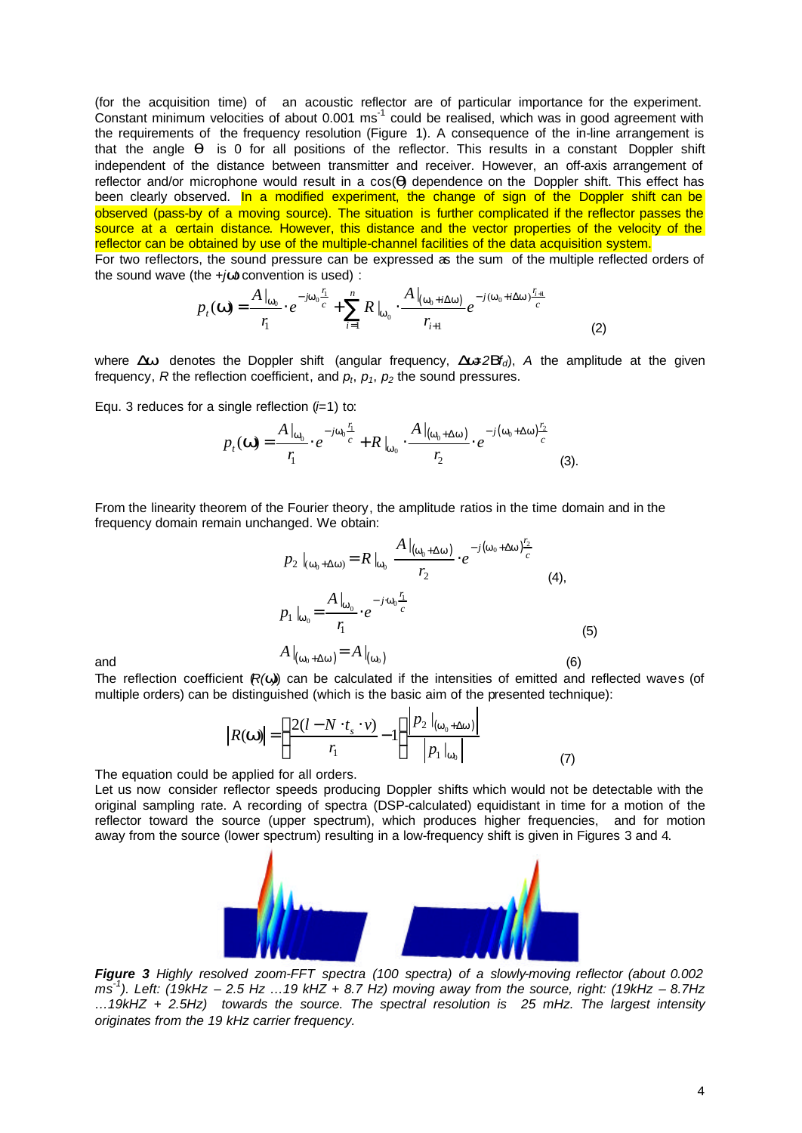(for the acquisition time) of an acoustic reflector are of particular importance for the experiment. Constant minimum velocities of about 0.001 ms $^1$  could be realised, which was in good agreement with the requirements of the frequency resolution (Figure 1). A consequence of the in-line arrangement is that the angle *q* is 0 for all positions of the reflector. This results in a constant Doppler shift independent of the distance between transmitter and receiver. However, an off-axis arrangement of reflector and/or microphone would result in a cos(*q*) dependence on the Doppler shift. This effect has been clearly observed. In a modified experiment, the change of sign of the Doppler shift can be observed (pass-by of a moving source). The situation is further complicated if the reflector passes the source at a certain distance. However, this distance and the vector properties of the velocity of the reflector can be obtained by use of the multiple-channel facilities of the data acquisition system.

For two reflectors, the sound pressure can be expressed as the sum of the multiple reflected orders of the sound wave (the +*jwt* convention is used) :

$$
p_t(\mathbf{W}) = \frac{A|_{\mathbf{W}_0}}{r_1} \cdot e^{-j\mathbf{W}_0 \frac{r_1}{c}} + \sum_{i=1}^n R|_{\mathbf{W}_0} \cdot \frac{A|_{(\mathbf{W}_0 + i\Delta \mathbf{W})}}{r_{i+1}} e^{-j(\mathbf{W}_0 + i\Delta \mathbf{W}) \frac{r_{i+1}}{c}}
$$
(2)

where *Dw* denotes the Doppler shift (angular frequency, *Dw*=*2Bfd*), *A* the amplitude at the given frequency,  $R$  the reflection coefficient, and  $p_t$ ,  $p_1$ ,  $p_2$  the sound pressures.

Equ. 3 reduces for a single reflection (*i*=1) to:

$$
p_t(\mathbf{W}) = \frac{A|_{\mathbf{W}_0}}{r_1} \cdot e^{-j\mathbf{W}_0 \frac{r_1}{c}} + R|_{\mathbf{W}_0} \cdot \frac{A|_{(\mathbf{W}_0 + \Delta \mathbf{W})}}{r_2} \cdot e^{-j(\mathbf{W}_0 + \Delta \mathbf{W}) \frac{r_2}{c}}
$$
(3).

From the linearity theorem of the Fourier theory, the amplitude ratios in the time domain and in the frequency domain remain unchanged. We obtain:

$$
p_2 \mid_{(\mathbf{w}_0 + \Delta \mathbf{w})} = R \mid_{\mathbf{w}_0} \frac{A \mid_{(\mathbf{w}_0 + \Delta \mathbf{w})}}{r_2} \cdot e^{-j(\mathbf{w}_0 + \Delta \mathbf{w}) \frac{r_2}{c}}
$$
\n
$$
p_1 \mid_{\mathbf{w}_0} = \frac{A \mid_{\mathbf{w}_0}}{r_1} \cdot e^{-j \cdot \mathbf{w}_0 \frac{r_1}{c}}
$$
\n
$$
A \mid_{(\mathbf{w}_0 + \Delta \mathbf{w})} = A \mid_{(\mathbf{w}_0)}
$$
\n(6)

The reflection coefficient  $(R(w)$  can be calculated if the intensities of emitted and reflected waves (of multiple orders) can be distinguished (which is the basic aim of the presented technique):

$$
\left| R(\mathbf{w}) \right| = \left( \frac{2(l - N \cdot t_s \cdot v)}{r_1} - 1 \right) \frac{\left| P_2 \right|_{(\mathbf{w}_0 + \Delta \mathbf{w})}}{\left| P_1 \right|_{\mathbf{w}_0}} \tag{7}
$$

The equation could be applied for all orders.

Let us now consider reflector speeds producing Doppler shifts which would not be detectable with the original sampling rate. A recording of spectra (DSP-calculated) equidistant in time for a motion of the reflector toward the source (upper spectrum), which produces higher frequencies, and for motion away from the source (lower spectrum) resulting in a low-frequency shift is given in Figures 3 and 4.



*Figure 3 Highly resolved zoom-FFT spectra (100 spectra) of a slowly-moving reflector (about 0.002 ms -1 ). Left: (19kHz – 2.5 Hz …19 kHZ + 8.7 Hz) moving away from the source, right: (19kHz – 8.7Hz …19kHZ + 2.5Hz) towards the source. The spectral resolution is 25 mHz. The largest intensity originates from the 19 kHz carrier frequency.*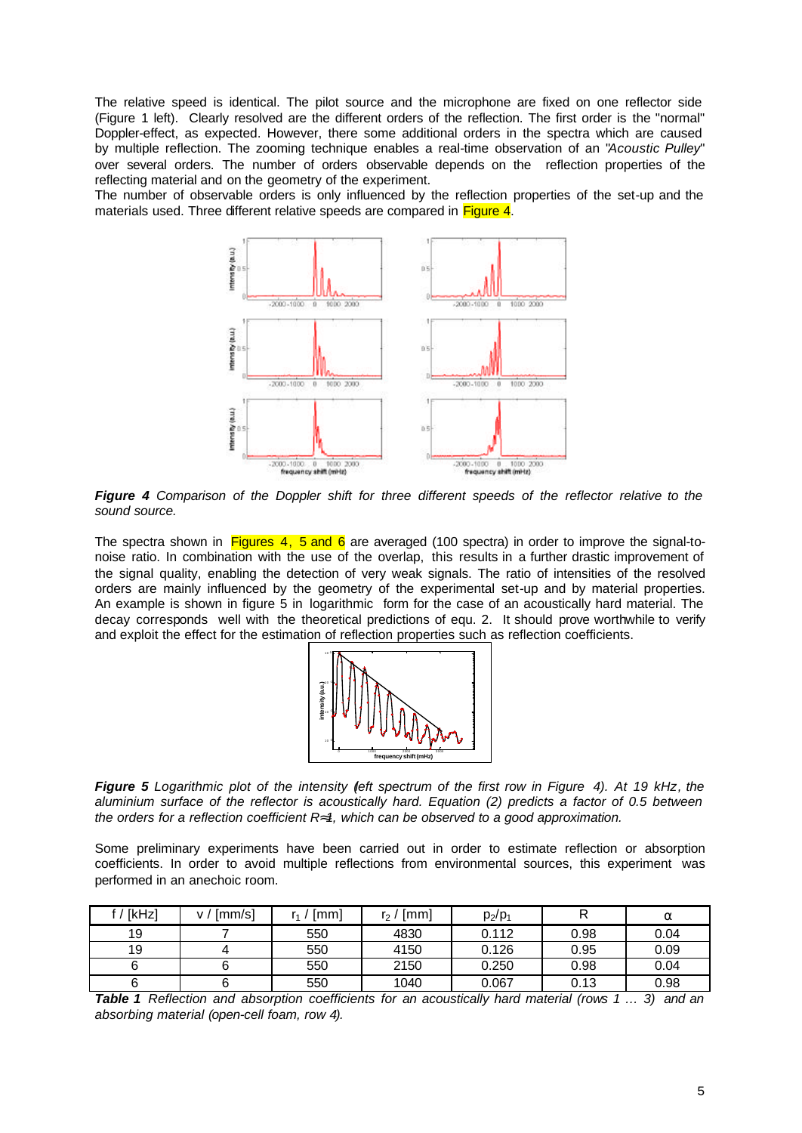The relative speed is identical. The pilot source and the microphone are fixed on one reflector side (Figure 1 left). Clearly resolved are the different orders of the reflection. The first order is the "normal" Doppler-effect, as expected. However, there some additional orders in the spectra which are caused by multiple reflection. The zooming technique enables a real-time observation of an "*Acoustic Pulley*" over several orders. The number of orders observable depends on the reflection properties of the reflecting material and on the geometry of the experiment.

The number of observable orders is only influenced by the reflection properties of the set-up and the materials used. Three different relative speeds are compared in Figure 4.



*Figure 4 Comparison of the Doppler shift for three different speeds of the reflector relative to the sound source.*

The spectra shown in Figures 4, 5 and 6 are averaged (100 spectra) in order to improve the signal-tonoise ratio. In combination with the use of the overlap, this results in a further drastic improvement of the signal quality, enabling the detection of very weak signals. The ratio of intensities of the resolved orders are mainly influenced by the geometry of the experimental set-up and by material properties. An example is shown in figure 5 in logarithmic form for the case of an acoustically hard material. The decay corresponds well with the theoretical predictions of equ. 2. It should prove worthwhile to verify and exploit the effect for the estimation of reflection properties such as reflection coefficients.



**Figure 5** *Logarithmic plot of the intensity (left spectrum of the first row in Figure 4). At 19 kHz, the aluminium surface of the reflector is acoustically hard. Equation (2) predicts a factor of 0.5 between the orders for a reflection coefficient R»1, which can be observed to a good approximation.*

Some preliminary experiments have been carried out in order to estimate reflection or absorption coefficients. In order to avoid multiple reflections from environmental sources, this experiment was performed in an anechoic room.

| f/[kHz] | ∫mm/s]<br>v / | ์ [mm] | $r_2$ / [mm] | $p_2/p_1$ |      | $\alpha$ |
|---------|---------------|--------|--------------|-----------|------|----------|
| 19      |               | 550    | 4830         | 0.112     | 0.98 | 0.04     |
| 19      |               | 550    | 4150         | 0.126     | 0.95 | 0.09     |
|         |               | 550    | 2150         | 0.250     | 0.98 | 0.04     |
|         |               | 550    | 1040         | 0.067     | 0.13 | 0.98     |

*Table 1 Reflection and absorption coefficients for an acoustically hard material (rows 1 … 3) and an absorbing material (open-cell foam, row 4).*